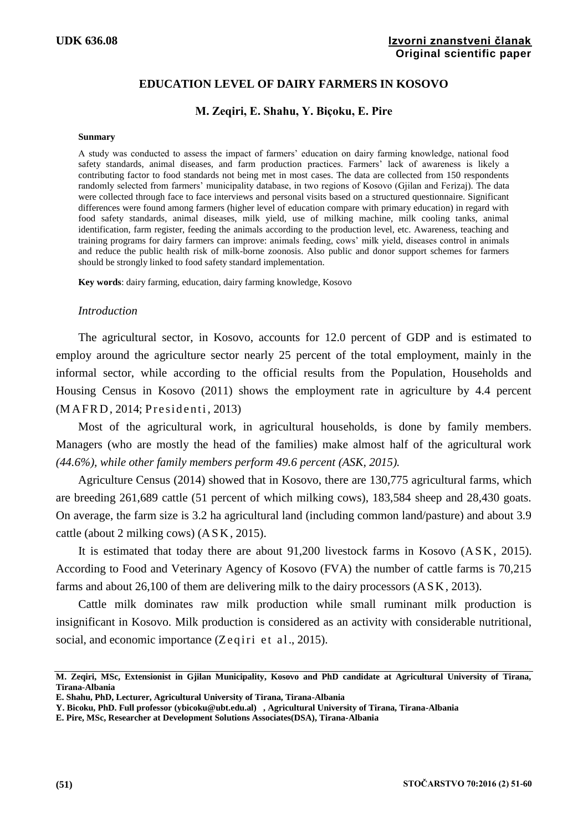# **EDUCATION LEVEL OF DAIRY FARMERS IN KOSOVO**

### **M. Zeqiri, E. Shahu, Y. Biçoku, E. Pire**

#### **Sunmary**

A study was conducted to assess the impact of farmers' education on dairy farming knowledge, national food safety standards, animal diseases, and farm production practices. Farmers' lack of awareness is likely a contributing factor to food standards not being met in most cases. The data are collected from 150 respondents randomly selected from farmers' municipality database, in two regions of Kosovo (Gjilan and Ferizaj). The data were collected through face to face interviews and personal visits based on a structured questionnaire. Significant differences were found among farmers (higher level of education compare with primary education) in regard with food safety standards, animal diseases, milk yield, use of milking machine, milk cooling tanks, animal identification, farm register, feeding the animals according to the production level, etc. Awareness, teaching and training programs for dairy farmers can improve: animals feeding, cows' milk yield, diseases control in animals and reduce the public health risk of milk-borne zoonosis. Also public and donor support schemes for farmers should be strongly linked to food safety standard implementation.

**Key words**: dairy farming, education, dairy farming knowledge, Kosovo

#### *Introduction*

The agricultural sector, in Kosovo, accounts for 12.0 percent of GDP and is estimated to employ around the agriculture sector nearly 25 percent of the total employment, mainly in the informal sector, while according to the official results from the Population, Households and Housing Census in Kosovo (2011) shows the employment rate in agriculture by 4.4 percent (MAFRD, 2014; Presidenti, 2013)

Most of the agricultural work, in agricultural households, is done by family members. Managers (who are mostly the head of the families) make almost half of the agricultural work *(44.6%), while other family members perform 49.6 percent (ASK, 2015).*

Agriculture Census (2014) showed that in Kosovo, there are 130,775 agricultural farms, which are breeding 261,689 cattle (51 percent of which milking cows), 183,584 sheep and 28,430 goats. On average, the farm size is 3.2 ha agricultural land (including common land/pasture) and about 3.9 cattle (about 2 milking cows) (A S K, 2015).

It is estimated that today there are about 91,200 livestock farms in Kosovo (ASK, 2015). According to Food and Veterinary Agency of Kosovo (FVA) the number of cattle farms is 70,215 farms and about 26,100 of them are delivering milk to the dairy processors (A S K, 2013).

Cattle milk dominates raw milk production while small ruminant milk production is insignificant in Kosovo. Milk production is considered as an activity with considerable nutritional, social, and economic importance  $(Zeqiri et al., 2015)$ .

**M. Zeqiri, MSc, Extensionist in Gjilan Municipality, Kosovo and PhD candidate at Agricultural University of Tirana, Tirana-Albania** 

**E. Shahu, PhD, Lecturer, Agricultural University of Tirana, Tirana-Albania**

**Y. Bicoku, PhD. Full professor (ybicoku@ubt.edu.al) , Agricultural University of Tirana, Tirana-Albania**

**E. Pire, MSc, Researcher at Development Solutions Associates(DSA), Tirana-Albania**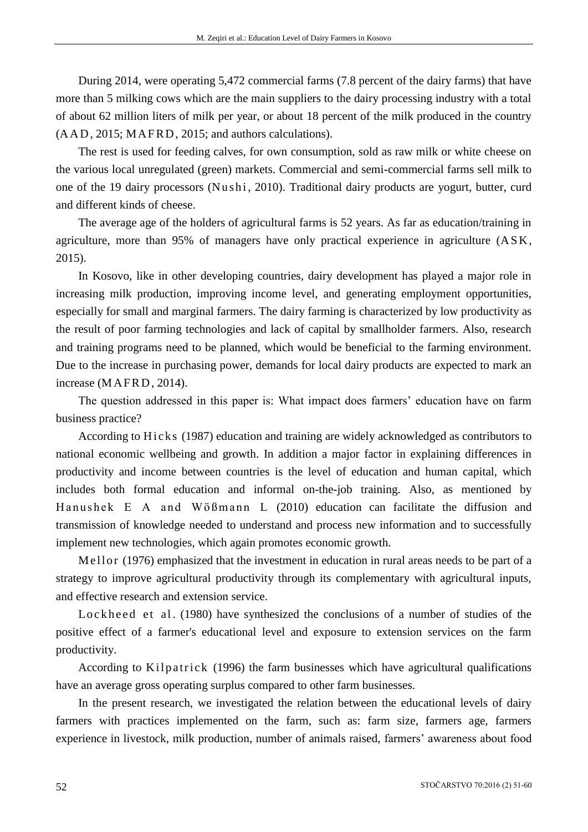During 2014, were operating 5,472 commercial farms (7.8 percent of the dairy farms) that have more than 5 milking cows which are the main suppliers to the dairy processing industry with a total of about 62 million liters of milk per year, or about 18 percent of the milk produced in the country (AAD, 2015; MA FRD, 2015; and authors calculations).

The rest is used for feeding calves, for own consumption, sold as raw milk or white cheese on the various local unregulated (green) markets. Commercial and semi-commercial farms sell milk to one of the 19 dairy processors (Nushi, 2010). Traditional dairy products are yogurt, butter, curd and different kinds of cheese.

The average age of the holders of agricultural farms is 52 years. As far as education/training in agriculture, more than  $95\%$  of managers have only practical experience in agriculture  $(ASK,$ 2015).

In Kosovo, like in other developing countries, dairy development has played a major role in increasing milk production, improving income level, and generating employment opportunities, especially for small and marginal farmers. The dairy farming is characterized by low productivity as the result of poor farming technologies and lack of capital by smallholder farmers. Also, research and training programs need to be planned, which would be beneficial to the farming environment. Due to the increase in purchasing power, demands for local dairy products are expected to mark an increase (MAFRD, 2014).

The question addressed in this paper is: What impact does farmers' education have on farm business practice?

According to Hicks (1987) education and training are widely acknowledged as contributors to national economic wellbeing and growth. In addition a major factor in explaining differences in productivity and income between countries is the level of education and human capital, which includes both formal education and informal on-the-job training. Also, as mentioned by Hanushek E A and Wößmann L (2010) education can facilitate the diffusion and transmission of knowledge needed to understand and process new information and to successfully implement new technologies, which again promotes economic growth.

Mellor (1976) emphasized that the investment in education in rural areas needs to be part of a strategy to improve agricultural productivity through its complementary with agricultural inputs, and effective research and extension service.

Lockheed et al. (1980) have synthesized the conclusions of a number of studies of the positive effect of a farmer's educational level and exposure to extension services on the farm productivity.

According to Kilpatrick (1996) the farm businesses which have agricultural qualifications have an average gross operating surplus compared to other farm businesses.

In the present research, we investigated the relation between the educational levels of dairy farmers with practices implemented on the farm, such as: farm size, farmers age, farmers experience in livestock, milk production, number of animals raised, farmers' awareness about food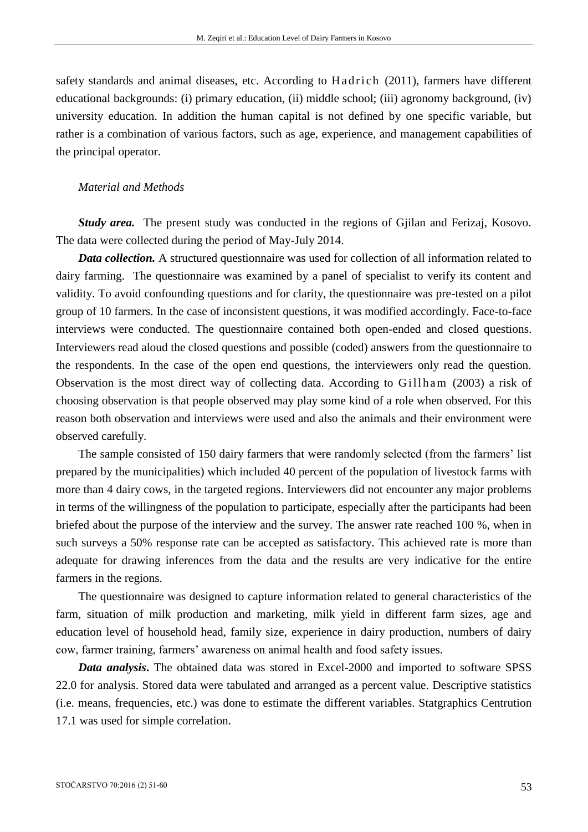safety standards and animal diseases, etc. According to Hadrich (2011), farmers have different educational backgrounds: (i) primary education, (ii) middle school; (iii) agronomy background, (iv) university education. In addition the human capital is not defined by one specific variable, but rather is a combination of various factors, such as age, experience, and management capabilities of the principal operator.

#### *Material and Methods*

*Study area.* The present study was conducted in the regions of Gjilan and Ferizaj, Kosovo. The data were collected during the period of May-July 2014.

*Data collection.* A structured questionnaire was used for collection of all information related to dairy farming. The questionnaire was examined by a panel of specialist to verify its content and validity. To avoid confounding questions and for clarity, the questionnaire was pre-tested on a pilot group of 10 farmers. In the case of inconsistent questions, it was modified accordingly. Face-to-face interviews were conducted. The questionnaire contained both open-ended and closed questions. Interviewers read aloud the closed questions and possible (coded) answers from the questionnaire to the respondents. In the case of the open end questions, the interviewers only read the question. Observation is the most direct way of collecting data. According to Gillham (2003) a risk of choosing observation is that people observed may play some kind of a role when observed. For this reason both observation and interviews were used and also the animals and their environment were observed carefully.

The sample consisted of 150 dairy farmers that were randomly selected (from the farmers' list prepared by the municipalities) which included 40 percent of the population of livestock farms with more than 4 dairy cows, in the targeted regions. Interviewers did not encounter any major problems in terms of the willingness of the population to participate, especially after the participants had been briefed about the purpose of the interview and the survey. The answer rate reached 100 %, when in such surveys a 50% response rate can be accepted as satisfactory. This achieved rate is more than adequate for drawing inferences from the data and the results are very indicative for the entire farmers in the regions.

The questionnaire was designed to capture information related to general characteristics of the farm, situation of milk production and marketing, milk yield in different farm sizes, age and education level of household head, family size, experience in dairy production, numbers of dairy cow, farmer training, farmers' awareness on animal health and food safety issues.

*Data analysis***.** The obtained data was stored in Excel-2000 and imported to software SPSS 22.0 for analysis. Stored data were tabulated and arranged as a percent value. Descriptive statistics (i.e. means, frequencies, etc.) was done to estimate the different variables. Statgraphics Centrution 17.1 was used for simple correlation.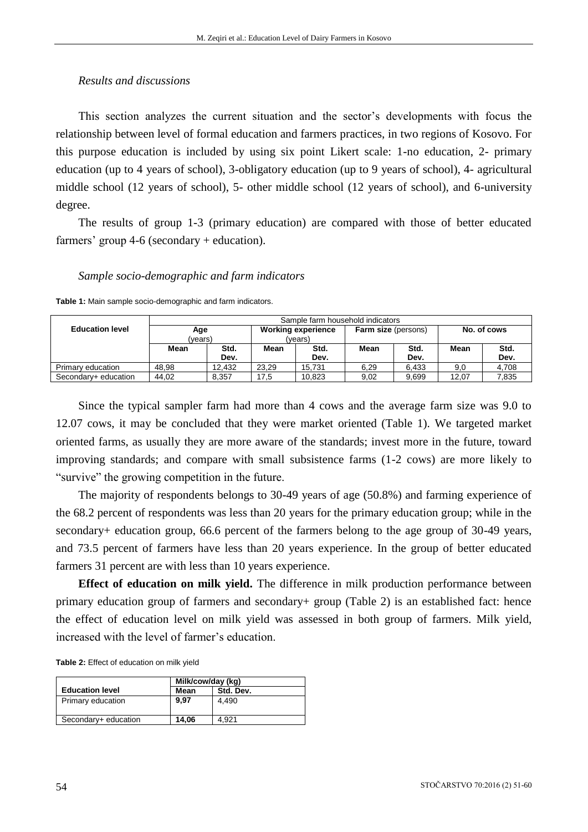### *Results and discussions*

This section analyzes the current situation and the sector's developments with focus the relationship between level of formal education and farmers practices, in two regions of Kosovo. For this purpose education is included by using six point Likert scale: 1-no education, 2- primary education (up to 4 years of school), 3-obligatory education (up to 9 years of school), 4- agricultural middle school (12 years of school), 5- other middle school (12 years of school), and 6-university degree.

The results of group 1-3 (primary education) are compared with those of better educated farmers' group 4-6 (secondary + education).

#### *Sample socio-demographic and farm indicators*

**Table 1:** Main sample socio-demographic and farm indicators.

|                        | Sample farm household indicators |        |                                      |        |                            |       |             |       |  |  |
|------------------------|----------------------------------|--------|--------------------------------------|--------|----------------------------|-------|-------------|-------|--|--|
| <b>Education level</b> | Age<br>(vears)                   |        | <b>Working experience</b><br>(vears) |        | <b>Farm size (persons)</b> |       | No. of cows |       |  |  |
|                        |                                  |        |                                      |        |                            |       |             |       |  |  |
|                        | Mean                             | Std.   | Mean                                 | Std.   | Mean                       | Std.  | Mean        | Std.  |  |  |
|                        |                                  | Dev.   |                                      | Dev.   |                            | Dev.  |             | Dev.  |  |  |
| Primary education      | 48.98                            | 12.432 | 23.29                                | 15.731 | 6.29                       | 6.433 | 9,0         | 4.708 |  |  |
| Secondary+ education   | 44.02                            | 8.357  | 17.5                                 | 10.823 | 9.02                       | 9.699 | 12.07       | 7.835 |  |  |

Since the typical sampler farm had more than 4 cows and the average farm size was 9.0 to 12.07 cows, it may be concluded that they were market oriented (Table 1). We targeted market oriented farms, as usually they are more aware of the standards; invest more in the future, toward improving standards; and compare with small subsistence farms (1-2 cows) are more likely to "survive" the growing competition in the future.

The majority of respondents belongs to 30-49 years of age (50.8%) and farming experience of the 68.2 percent of respondents was less than 20 years for the primary education group; while in the secondary+ education group, 66.6 percent of the farmers belong to the age group of 30-49 years, and 73.5 percent of farmers have less than 20 years experience. In the group of better educated farmers 31 percent are with less than 10 years experience.

**Effect of education on milk yield.** The difference in milk production performance between primary education group of farmers and secondary+ group (Table 2) is an established fact: hence the effect of education level on milk yield was assessed in both group of farmers. Milk yield, increased with the level of farmer's education.

**Table 2:** Effect of education on milk yield

|                        | Milk/cow/day (kg) |           |
|------------------------|-------------------|-----------|
| <b>Education level</b> | Mean              | Std. Dev. |
| Primary education      | 9.97              | 4.490     |
| Secondary+ education   | 14.06             | 4.921     |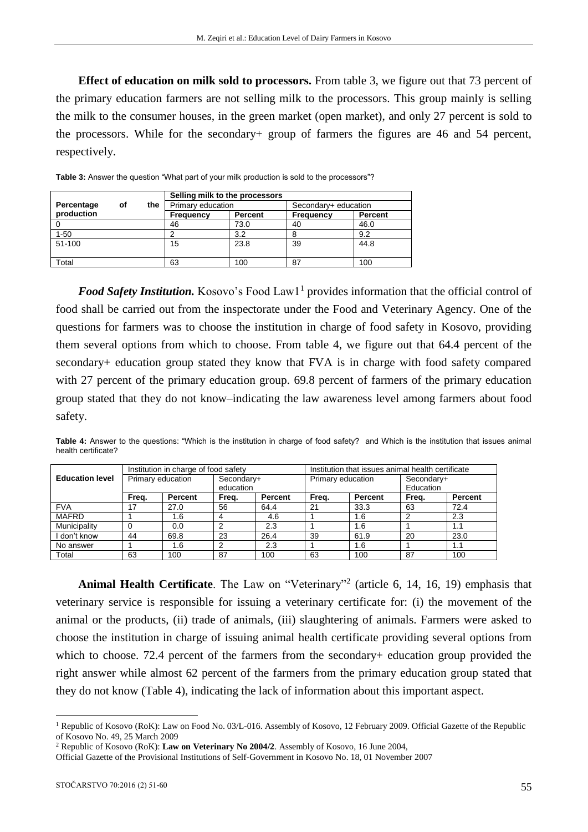**Effect of education on milk sold to processors.** From table 3, we figure out that 73 percent of the primary education farmers are not selling milk to the processors. This group mainly is selling the milk to the consumer houses, in the green market (open market), and only 27 percent is sold to the processors. While for the secondary+ group of farmers the figures are 46 and 54 percent, respectively.

|            |    |     | Selling milk to the processors |      |                      |         |  |  |
|------------|----|-----|--------------------------------|------|----------------------|---------|--|--|
| Percentage | οf | the | Primary education              |      | Secondary+ education |         |  |  |
| production |    |     | <b>Percent</b><br>Frequency    |      | Frequency            | Percent |  |  |
|            |    |     | 46                             | 73.0 | 40                   | 46.0    |  |  |
| $1 - 50$   |    |     |                                | 3.2  | 8                    | 9.2     |  |  |
| 51-100     |    |     | 15                             | 23.8 | 39                   | 44.8    |  |  |
|            |    |     |                                |      |                      |         |  |  |
| Total      |    |     | 63                             | 100  | 87                   | 100     |  |  |

**Table 3:** Answer the question "What part of your milk production is sold to the processors"?

Food Safety Institution. Kosovo's Food Law1<sup>1</sup> provides information that the official control of food shall be carried out from the inspectorate under the Food and Veterinary Agency. One of the questions for farmers was to choose the institution in charge of food safety in Kosovo, providing them several options from which to choose. From table 4, we figure out that 64.4 percent of the secondary+ education group stated they know that FVA is in charge with food safety compared with 27 percent of the primary education group. 69.8 percent of farmers of the primary education group stated that they do not know–indicating the law awareness level among farmers about food safety.

|                        |                   | Institution in charge of food safety |            |         | Institution that issues animal health certificate |                |            |                |  |
|------------------------|-------------------|--------------------------------------|------------|---------|---------------------------------------------------|----------------|------------|----------------|--|
| <b>Education level</b> | Primary education |                                      | Secondary+ |         | Primary education                                 |                | Secondary+ |                |  |
|                        |                   |                                      | education  |         |                                                   |                | Education  |                |  |
|                        | Freq.             | Percent                              | Freq.      | Percent | Freq.                                             | <b>Percent</b> | Freq.      | <b>Percent</b> |  |
| <b>FVA</b>             | 17                | 27.0                                 | 56         | 64.4    | 21                                                | 33.3           | 63         | 72.4           |  |
| <b>MAFRD</b>           |                   | .6 <sub>1</sub>                      | 4          | 4.6     |                                                   | 1.6            |            | 2.3            |  |
| Municipality           |                   | 0.0                                  | 2          | 2.3     |                                                   | 1.6            |            | 1.1            |  |
| don't know             | 44                | 69.8                                 | 23         | 26.4    | 39                                                | 61.9           | 20         | 23.0           |  |
| No answer              |                   | 1.6                                  | 2          | 2.3     |                                                   | 1.6            |            | 1.1            |  |
| Total                  | 63                | 100                                  | 87         | 100     | 63                                                | 100            | 87         | 100            |  |

**Table 4:** Answer to the questions: "Which is the institution in charge of food safety? and Which is the institution that issues animal health certificate?

Animal Health Certificate. The Law on "Veterinary"<sup>2</sup> (article 6, 14, 16, 19) emphasis that veterinary service is responsible for issuing a veterinary certificate for: (i) the movement of the animal or the products, (ii) trade of animals, (iii) slaughtering of animals. Farmers were asked to choose the institution in charge of issuing animal health certificate providing several options from which to choose. 72.4 percent of the farmers from the secondary+ education group provided the right answer while almost 62 percent of the farmers from the primary education group stated that they do not know (Table 4), indicating the lack of information about this important aspect.

<u>.</u>

<sup>&</sup>lt;sup>1</sup> Republic of Kosovo (RoK): Law on Food No. 03/L-016. Assembly of Kosovo, 12 February 2009. Official Gazette of the Republic of Kosovo No. 49, 25 March 2009

<sup>2</sup> Republic of Kosovo (RoK): **Law on Veterinary No 2004/2**. Assembly of Kosovo, 16 June 2004,

Official Gazette of the Provisional Institutions of Self-Government in Kosovo No. 18, 01 November 2007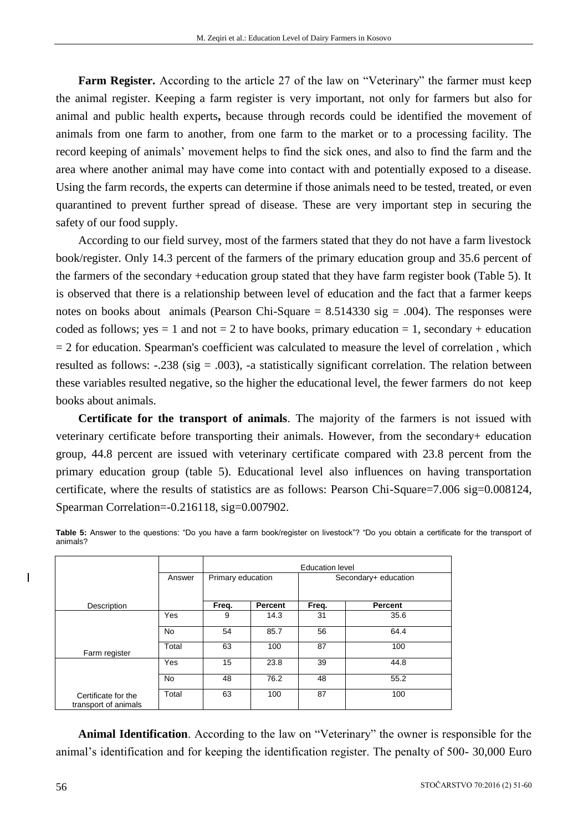**Farm Register.** According to the article 27 of the law on "Veterinary" the farmer must keep the animal register. Keeping a farm register is very important, not only for farmers but also for animal and public health experts**,** because through records could be identified the movement of animals from one farm to another, from one farm to the market or to a processing facility. The record keeping of animals' movement helps to find the sick ones, and also to find the farm and the area where another animal may have come into contact with and potentially exposed to a disease. Using the farm records, the experts can determine if those animals need to be tested, treated, or even quarantined to prevent further spread of disease. These are very important step in securing the safety of our food supply.

According to our field survey, most of the farmers stated that they do not have a farm livestock book/register. Only 14.3 percent of the farmers of the primary education group and 35.6 percent of the farmers of the secondary +education group stated that they have farm register book (Table 5). It is observed that there is a relationship between level of education and the fact that a farmer keeps notes on books about animals (Pearson Chi-Square  $= 8.514330$  sig  $= .004$ ). The responses were coded as follows; yes  $= 1$  and not  $= 2$  to have books, primary education  $= 1$ , secondary + education  $= 2$  for education. Spearman's coefficient was calculated to measure the level of correlation, which resulted as follows:  $-.238$  (sig = .003), -a statistically significant correlation. The relation between these variables resulted negative, so the higher the educational level, the fewer farmers do not keep books about animals.

**Certificate for the transport of animals**. The majority of the farmers is not issued with veterinary certificate before transporting their animals. However, from the secondary+ education group, 44.8 percent are issued with veterinary certificate compared with 23.8 percent from the primary education group (table 5). Educational level also influences on having transportation certificate, where the results of statistics are as follows: Pearson Chi-Square=7.006 sig=0.008124, Spearman Correlation=-0.216118, sig=0.007902.

|                                             |        |                   | <b>Education level</b> |                      |                |  |  |  |  |
|---------------------------------------------|--------|-------------------|------------------------|----------------------|----------------|--|--|--|--|
|                                             | Answer | Primary education |                        | Secondary+ education |                |  |  |  |  |
| Description                                 |        | Freq.             | Percent                | Freq.                | <b>Percent</b> |  |  |  |  |
|                                             | Yes    | 9                 | 14.3                   | 31                   | 35.6           |  |  |  |  |
|                                             | No.    | 54                | 85.7                   | 56                   | 64.4           |  |  |  |  |
| Farm register                               | Total  | 63                | 100                    | 87                   | 100            |  |  |  |  |
|                                             | Yes    | 15                | 23.8                   | 39                   | 44.8           |  |  |  |  |
|                                             | No.    | 48                | 76.2                   | 48                   | 55.2           |  |  |  |  |
| Certificate for the<br>transport of animals | Total  | 63                | 100                    | 87                   | 100            |  |  |  |  |

**Table 5:** Answer to the questions: "Do you have a farm book/register on livestock"? "Do you obtain a certificate for the transport of animals?

**Animal Identification**. According to the law on "Veterinary" the owner is responsible for the animal's identification and for keeping the identification register. The penalty of 500- 30,000 Euro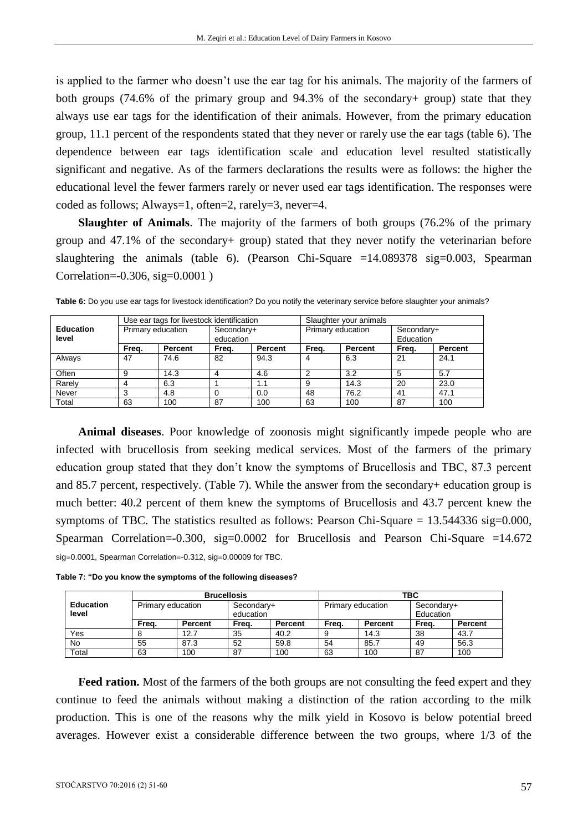is applied to the farmer who doesn't use the ear tag for his animals. The majority of the farmers of both groups (74.6% of the primary group and 94.3% of the secondary+ group) state that they always use ear tags for the identification of their animals. However, from the primary education group, 11.1 percent of the respondents stated that they never or rarely use the ear tags (table 6). The dependence between ear tags identification scale and education level resulted statistically significant and negative. As of the farmers declarations the results were as follows: the higher the educational level the fewer farmers rarely or never used ear tags identification. The responses were coded as follows; Always=1, often=2, rarely=3, never=4.

**Slaughter of Animals**. The majority of the farmers of both groups (76.2% of the primary group and 47.1% of the secondary+ group) stated that they never notify the veterinarian before slaughtering the animals (table 6). (Pearson Chi-Square =14.089378 sig=0.003, Spearman Correlation=-0.306, sig=0.0001 )

|                  |                   | Use ear tags for livestock identification |            |         | Slaughter your animals |         |            |         |  |
|------------------|-------------------|-------------------------------------------|------------|---------|------------------------|---------|------------|---------|--|
| <b>Education</b> | Primary education |                                           | Secondary+ |         | Primary education      |         | Secondary+ |         |  |
| level            |                   |                                           | education  |         |                        |         | Education  |         |  |
|                  | Frea.             | Percent                                   | Freq.      | Percent | Frea.                  | Percent | Frea.      | Percent |  |
| Always           | 47                | 74.6                                      | 82         | 94.3    | 4                      | 6.3     | 21         | 24.1    |  |
| Often            | 9                 | 14.3                                      | 4          | 4.6     | 2                      | 3.2     | 5          | 5.7     |  |
| Rarely           | 4                 | 6.3                                       |            | 1.1     | 9                      | 14.3    | 20         | 23.0    |  |
| Never            | 3                 | 4.8                                       |            | 0.0     | 48                     | 76.2    | 41         | 47.1    |  |
| Total            | 63                | 100                                       | 87         | 100     | 63                     | 100     | 87         | 100     |  |

**Table 6:** Do you use ear tags for livestock identification? Do you notify the veterinary service before slaughter your animals?

**Animal diseases**. Poor knowledge of zoonosis might significantly impede people who are infected with brucellosis from seeking medical services. Most of the farmers of the primary education group stated that they don't know the symptoms of Brucellosis and TBC, 87.3 percent and 85.7 percent, respectively. (Table 7). While the answer from the secondary+ education group is much better: 40.2 percent of them knew the symptoms of Brucellosis and 43.7 percent knew the symptoms of TBC. The statistics resulted as follows: Pearson Chi-Square = 13.544336 sig=0.000, Spearman Correlation=-0.300, sig=0.0002 for Brucellosis and Pearson Chi-Square =14.672 sig=0.0001, Spearman Correlation=-0.312, sig=0.00009 for TBC.

**Table 7: "Do you know the symptoms of the following diseases?**

|                           |                   | <b>Brucellosis</b> |                         |                | твс               |         |                         |                |  |
|---------------------------|-------------------|--------------------|-------------------------|----------------|-------------------|---------|-------------------------|----------------|--|
| <b>Education</b><br>level | Primary education |                    | Secondary+<br>education |                | Primary education |         | Secondary+<br>Education |                |  |
|                           | Frea.             | Percent            | Frea.                   | <b>Percent</b> | Frea.             | Percent | Frea.                   | <b>Percent</b> |  |
| Yes                       |                   | 12.7               | 35                      | 40.2           |                   | 14.3    | 38                      | 43.7           |  |
| No                        | 55                | 87.3               | 52                      | 59.8           | 54                | 85.7    | 49                      | 56.3           |  |
| Total                     | 63                | 100                | 87                      | 100            | 63                | 100     | 87                      | 100            |  |

**Feed ration.** Most of the farmers of the both groups are not consulting the feed expert and they continue to feed the animals without making a distinction of the ration according to the milk production. This is one of the reasons why the milk yield in Kosovo is below potential breed averages. However exist a considerable difference between the two groups, where 1/3 of the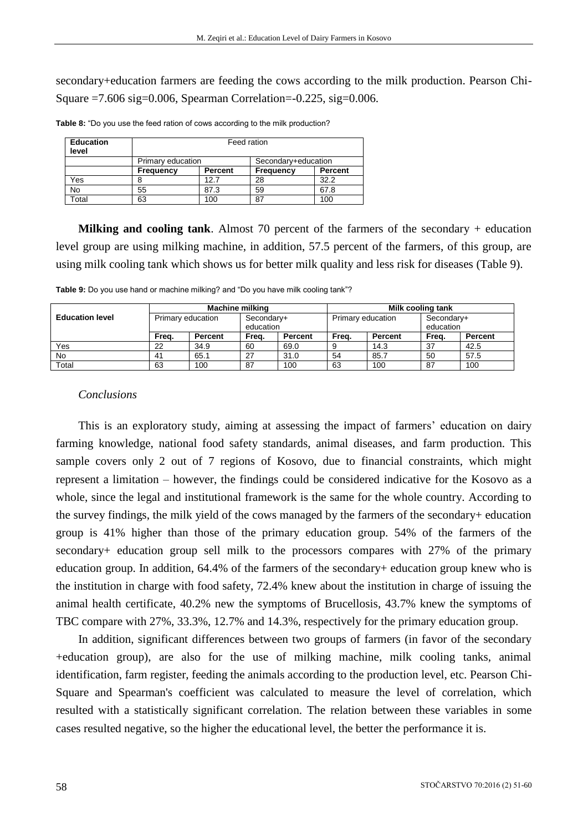secondary+education farmers are feeding the cows according to the milk production. Pearson Chi-Square =7.606 sig=0.006, Spearman Correlation=-0.225, sig=0.006.

| <b>Education</b><br>level | Feed ration                              |         |                  |                |  |  |  |  |
|---------------------------|------------------------------------------|---------|------------------|----------------|--|--|--|--|
|                           | Primary education<br>Secondary+education |         |                  |                |  |  |  |  |
|                           | <b>Frequency</b>                         | Percent | <b>Frequency</b> | <b>Percent</b> |  |  |  |  |
| Yes                       |                                          | 12.7    | 28               | 32.2           |  |  |  |  |
| No                        | 55                                       | 87.3    | 59               | 67.8           |  |  |  |  |
| Total                     | 63                                       | 100     | 87               | 100            |  |  |  |  |

**Table 8:** "Do you use the feed ration of cows according to the milk production?

**Milking and cooling tank**. Almost 70 percent of the farmers of the secondary + education level group are using milking machine, in addition, 57.5 percent of the farmers, of this group, are using milk cooling tank which shows us for better milk quality and less risk for diseases (Table 9).

**Table 9:** Do you use hand or machine milking? and "Do you have milk cooling tank"?

|                        | <b>Machine milking</b> |                |                         |                | Milk cooling tank |         |                         |         |
|------------------------|------------------------|----------------|-------------------------|----------------|-------------------|---------|-------------------------|---------|
| <b>Education level</b> | Primary education      |                | Secondary+<br>education |                | Primary education |         | Secondary+<br>education |         |
|                        | Frea.                  | <b>Percent</b> | Frea.                   | <b>Percent</b> | Freq.             | Percent | Freq.                   | Percent |
| Yes                    | 22                     | 34.9           | 60                      | 69.0           |                   | 14.3    | 37                      | 42.5    |
| No                     | 41                     | 65.1           | 27                      | 31.0           | 54                | 85.7    | 50                      | 57.5    |
| Total                  | 63                     | 100            | 87                      | 100            | 63                | 100     | 87                      | 100     |

## *Conclusions*

This is an exploratory study, aiming at assessing the impact of farmers' education on dairy farming knowledge, national food safety standards, animal diseases, and farm production. This sample covers only 2 out of 7 regions of Kosovo, due to financial constraints, which might represent a limitation – however, the findings could be considered indicative for the Kosovo as a whole, since the legal and institutional framework is the same for the whole country. According to the survey findings, the milk yield of the cows managed by the farmers of the secondary+ education group is 41% higher than those of the primary education group. 54% of the farmers of the secondary+ education group sell milk to the processors compares with 27% of the primary education group. In addition, 64.4% of the farmers of the secondary+ education group knew who is the institution in charge with food safety, 72.4% knew about the institution in charge of issuing the animal health certificate, 40.2% new the symptoms of Brucellosis, 43.7% knew the symptoms of TBC compare with 27%, 33.3%, 12.7% and 14.3%, respectively for the primary education group.

In addition, significant differences between two groups of farmers (in favor of the secondary +education group), are also for the use of milking machine, milk cooling tanks, animal identification, farm register, feeding the animals according to the production level, etc. Pearson Chi-Square and Spearman's coefficient was calculated to measure the level of correlation, which resulted with a statistically significant correlation. The relation between these variables in some cases resulted negative, so the higher the educational level, the better the performance it is.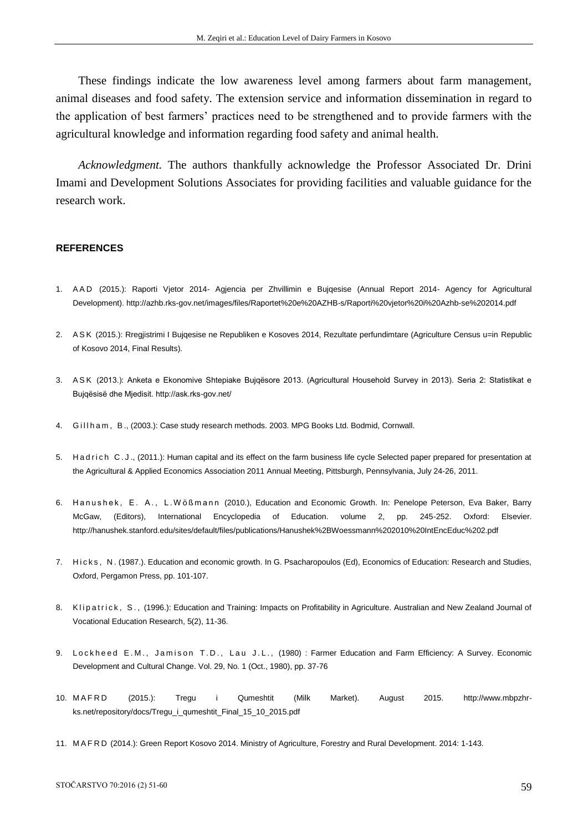These findings indicate the low awareness level among farmers about farm management, animal diseases and food safety. The extension service and information dissemination in regard to the application of best farmers' practices need to be strengthened and to provide farmers with the agricultural knowledge and information regarding food safety and animal health.

*Acknowledgment.* The authors thankfully acknowledge the Professor Associated Dr. Drini Imami and Development Solutions Associates for providing facilities and valuable guidance for the research work.

#### **REFERENCES**

- 1. A A D (2015.): Raporti Vjetor 2014- Agjencia per Zhvillimin e Bujqesise (Annual Report 2014- Agency for Agricultural Development). http://azhb.rks-gov.net/images/files/Raportet%20e%20AZHB-s/Raporti%20vjetor%20i%20Azhb-se%202014.pdf
- 2. ASK (2015.): Rregjistrimi I Bujqesise ne Republiken e Kosoves 2014, Rezultate perfundimtare (Agriculture Census u=in Republic of Kosovo 2014, Final Results).
- 3. ASK (2013.): Anketa e Ekonomive Shtepiake Bujqësore 2013. (Agricultural Household Survey in 2013). Seria 2: Statistikat e Bujqësisë dhe Mjedisit. http://ask.rks-gov.net/
- 4. Gill h a m, B., (2003.): Case study research methods. 2003. MPG Books Ltd. Bodmid, Cornwall.
- 5. Had rich C.J., (2011.): Human capital and its effect on the farm business life cycle Selected paper prepared for presentation at the Agricultural & Applied Economics Association 2011 Annual Meeting, Pittsburgh, Pennsylvania, July 24-26, 2011.
- 6. Hanushek, E. A., L. Wößmann (2010.), Education and Economic Growth. In: Penelope Peterson, Eva Baker, Barry McGaw, (Editors), International Encyclopedia of Education. volume 2, pp. 245-252. Oxford: Elsevier. http://hanushek.stanford.edu/sites/default/files/publications/Hanushek%2BWoessmann%202010%20IntEncEduc%202.pdf
- 7. Hicks, N. (1987.). Education and economic growth. In G. Psacharopoulos (Ed), Economics of Education: Research and Studies, Oxford, Pergamon Press, pp. 101-107.
- 8. Klipatrick, S., (1996.): Education and Training: Impacts on Profitability in Agriculture. Australian and New Zealand Journal of Vocational Education Research, 5(2), 11-36.
- 9. Lockheed E.M., Jamison T.D., Lau J.L., (1980): Farmer Education and Farm Efficiency: A Survey. Economic Development and Cultural Change. Vol. 29, No. 1 (Oct., 1980), pp. 37-76
- 10. M A F R D (2015.): Tregu i Qumeshtit (Milk Market). August 2015. http://www.mbpzhrks.net/repository/docs/Tregu\_i\_qumeshtit\_Final\_15\_10\_2015.pdf
- 11. M A F R D (2014.): Green Report Kosovo 2014. Ministry of Agriculture, Forestry and Rural Development. 2014: 1-143.